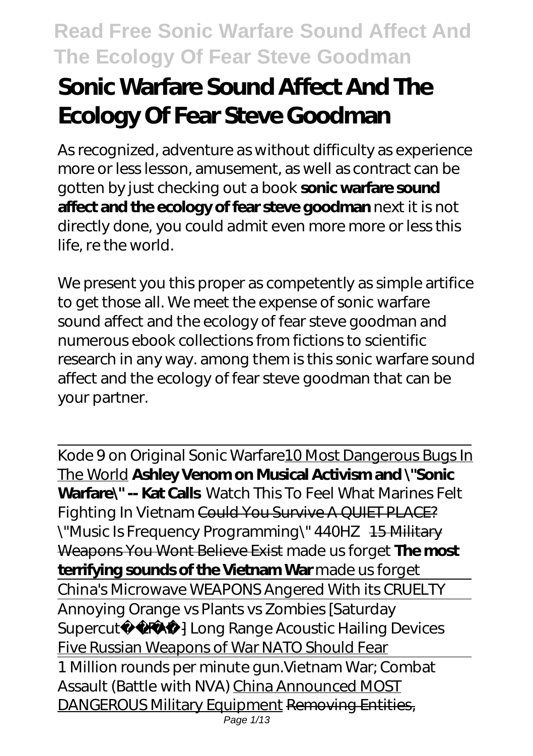# **Sonic Warfare Sound Affect And The Ecology Of Fear Steve Goodman**

As recognized, adventure as without difficulty as experience more or less lesson, amusement, as well as contract can be gotten by just checking out a book **sonic warfare sound affect and the ecology of fear steve goodman** next it is not directly done, you could admit even more more or less this life, re the world.

We present you this proper as competently as simple artifice to get those all. We meet the expense of sonic warfare sound affect and the ecology of fear steve goodman and numerous ebook collections from fictions to scientific research in any way. among them is this sonic warfare sound affect and the ecology of fear steve goodman that can be your partner.

Kode 9 on Original Sonic Warfare 10 Most Dangerous Bugs In The World **Ashley Venom on Musical Activism and \"Sonic Warfare\" -- Kat Calls** *Watch This To Feel What Marines Felt Fighting In Vietnam* Could You Survive A QUIET PLACE? \"Music Is Frequency Programming\" 440HZ 15 Military Weapons You Wont Believe Exist made us forget **The most terrifying sounds of the Vietnam War** made us forget China's Microwave WEAPONS Angered With its CRUELTY Annoying Orange vs Plants vs Zombies [Saturday Supercut] *LRAD - Long Range Acoustic Hailing Devices* Five Russian Weapons of War NATO Should Fear 1 Million rounds per minute gun.*Vietnam War; Combat Assault (Battle with NVA)* China Announced MOST DANGEROUS Military Equipment Removing Entities, Page 1/13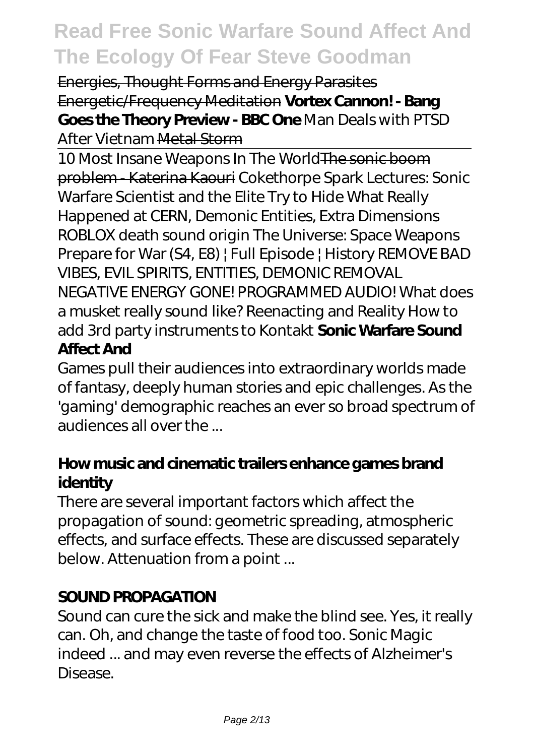Energies, Thought Forms and Energy Parasites Energetic/Frequency Meditation **Vortex Cannon! - Bang Goes the Theory Preview - BBC One** *Man Deals with PTSD After Vietnam* Metal Storm

10 Most Insane Weapons In The World The sonic boom problem - Katerina Kaouri *Cokethorpe Spark Lectures: Sonic Warfare Scientist and the Elite Try to Hide What Really Happened at CERN, Demonic Entities, Extra Dimensions ROBLOX death sound origin The Universe: Space Weapons Prepare for War (S4, E8) | Full Episode | History REMOVE BAD VIBES, EVIL SPIRITS, ENTITIES, DEMONIC REMOVAL NEGATIVE ENERGY GONE! PROGRAMMED AUDIO! What does a musket really sound like? Reenacting and Reality How to add 3rd party instruments to Kontakt* **Sonic Warfare Sound Affect And**

Games pull their audiences into extraordinary worlds made of fantasy, deeply human stories and epic challenges. As the 'gaming' demographic reaches an ever so broad spectrum of audiences all over the

#### **How music and cinematic trailers enhance games brand identity**

There are several important factors which affect the propagation of sound: geometric spreading, atmospheric effects, and surface effects. These are discussed separately below. Attenuation from a point ...

#### **SOUND PROPAGATION**

Sound can cure the sick and make the blind see. Yes, it really can. Oh, and change the taste of food too. Sonic Magic indeed ... and may even reverse the effects of Alzheimer's Disease.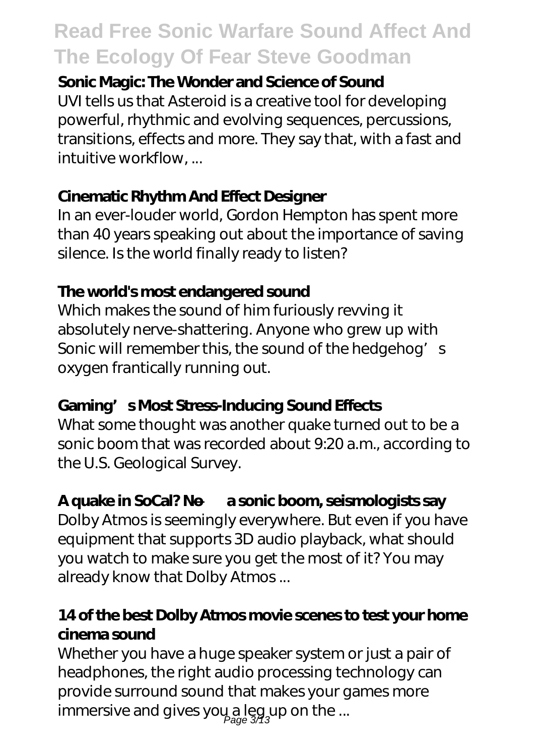#### **Sonic Magic: The Wonder and Science of Sound**

UVI tells us that Asteroid is a creative tool for developing powerful, rhythmic and evolving sequences, percussions, transitions, effects and more. They say that, with a fast and intuitive workflow, ...

#### **Cinematic Rhythm And Effect Designer**

In an ever-louder world, Gordon Hempton has spent more than 40 years speaking out about the importance of saving silence. Is the world finally ready to listen?

#### **The world's most endangered sound**

Which makes the sound of him furiously revving it absolutely nerve-shattering. Anyone who grew up with Sonic will remember this, the sound of the hedgehog's oxygen frantically running out.

#### **Gaming's Most Stress-Inducing Sound Effects**

What some thought was another quake turned out to be a sonic boom that was recorded about 9:20 a.m., according to the U.S. Geological Survey.

#### **A quake in SoCal? No — a sonic boom, seismologists say**

Dolby Atmos is seemingly everywhere. But even if you have equipment that supports 3D audio playback, what should you watch to make sure you get the most of it? You may already know that Dolby Atmos ...

#### **14 of the best Dolby Atmos movie scenes to test your home cinema sound**

Whether you have a huge speaker system or just a pair of headphones, the right audio processing technology can provide surround sound that makes your games more immersive and gives yo $\mu$  a leg up on the ...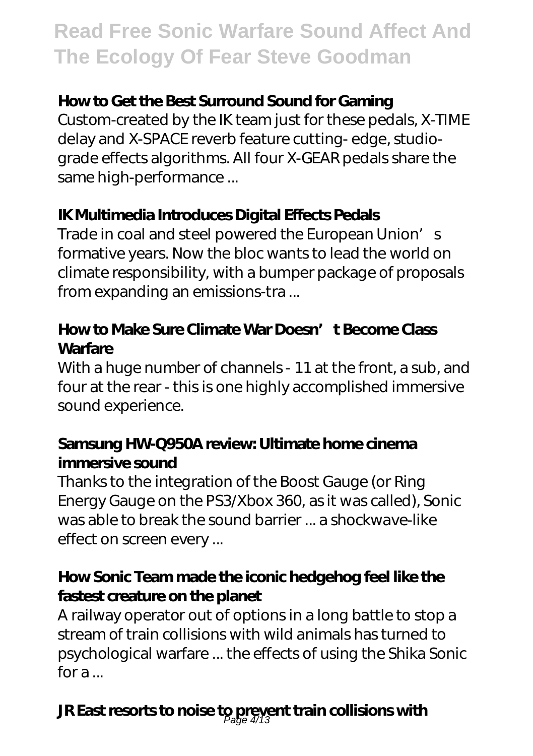#### **How to Get the Best Surround Sound for Gaming**

Custom-created by the IK team just for these pedals, X-TIME delay and X-SPACE reverb feature cutting- edge, studiograde effects algorithms. All four X-GEAR pedals share the same high-performance ...

#### **IK Multimedia Introduces Digital Effects Pedals**

Trade in coal and steel powered the European Union's formative years. Now the bloc wants to lead the world on climate responsibility, with a bumper package of proposals from expanding an emissions-tra ...

#### **How to Make Sure Climate War Doesn't Become Class Warfare**

With a huge number of channels - 11 at the front, a sub, and four at the rear - this is one highly accomplished immersive sound experience.

#### **Samsung HW-Q950A review: Ultimate home cinema immersive sound**

Thanks to the integration of the Boost Gauge (or Ring Energy Gauge on the PS3/Xbox 360, as it was called), Sonic was able to break the sound barrier ... a shockwave-like effect on screen every ...

#### **How Sonic Team made the iconic hedgehog feel like the fastest creature on the planet**

A railway operator out of options in a long battle to stop a stream of train collisions with wild animals has turned to psychological warfare ... the effects of using the Shika Sonic for a ...

### **JR East resorts to noise to prevent train collisions with** Page 4/13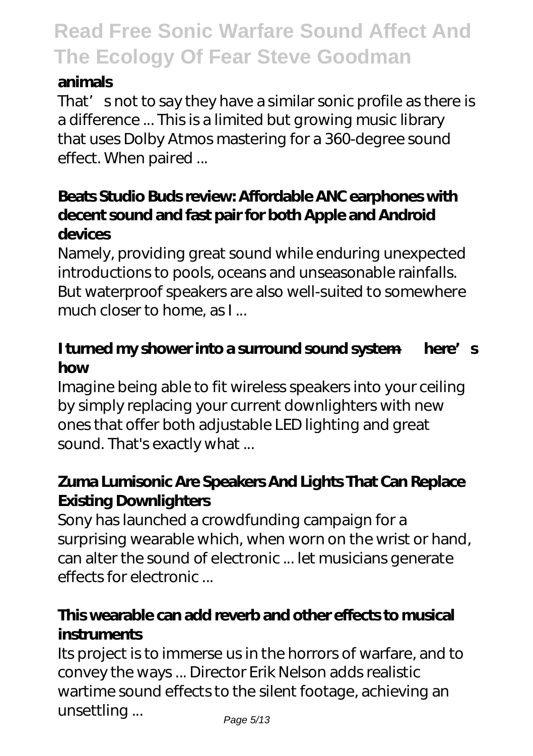#### **animals**

That' snot to say they have a similar sonic profile as there is a difference ... This is a limited but growing music library that uses Dolby Atmos mastering for a 360-degree sound effect. When paired ...

#### **Beats Studio Buds review: Affordable ANC earphones with decent sound and fast pair for both Apple and Android devices**

Namely, providing great sound while enduring unexpected introductions to pools, oceans and unseasonable rainfalls. But waterproof speakers are also well-suited to somewhere much closer to home, as I ...

#### **I turned my shower into a surround sound system — here's how**

Imagine being able to fit wireless speakers into your ceiling by simply replacing your current downlighters with new ones that offer both adjustable LED lighting and great sound. That's exactly what ...

#### **Zuma Lumisonic Are Speakers And Lights That Can Replace Existing Downlighters**

Sony has launched a crowdfunding campaign for a surprising wearable which, when worn on the wrist or hand, can alter the sound of electronic ... let musicians generate effects for electronic ...

#### **This wearable can add reverb and other effects to musical instruments**

Its project is to immerse us in the horrors of warfare, and to convey the ways ... Director Erik Nelson adds realistic wartime sound effects to the silent footage, achieving an unsettling ...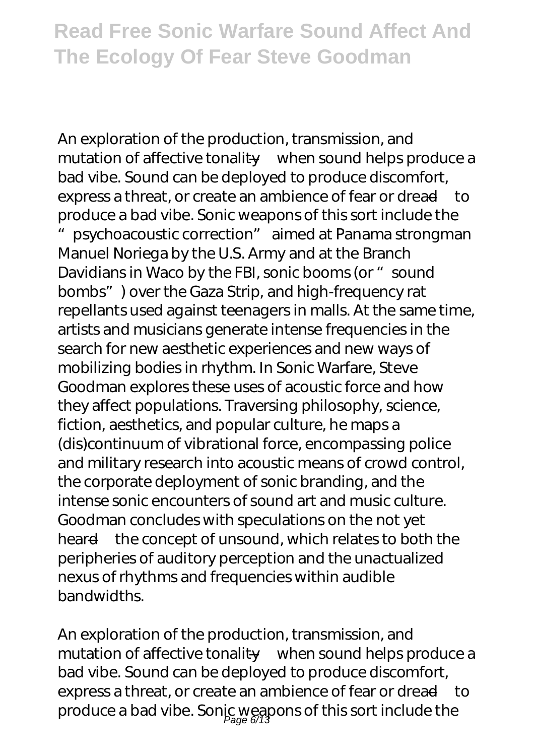An exploration of the production, transmission, and mutation of affective tonality—when sound helps produce a bad vibe. Sound can be deployed to produce discomfort, express a threat, or create an ambience of fear or dread—to produce a bad vibe. Sonic weapons of this sort include the psychoacoustic correction" aimed at Panama strongman Manuel Noriega by the U.S. Army and at the Branch Davidians in Waco by the FBI, sonic booms (or "sound bombs") over the Gaza Strip, and high-frequency rat repellants used against teenagers in malls. At the same time, artists and musicians generate intense frequencies in the search for new aesthetic experiences and new ways of mobilizing bodies in rhythm. In Sonic Warfare, Steve Goodman explores these uses of acoustic force and how they affect populations. Traversing philosophy, science, fiction, aesthetics, and popular culture, he maps a (dis)continuum of vibrational force, encompassing police and military research into acoustic means of crowd control, the corporate deployment of sonic branding, and the intense sonic encounters of sound art and music culture. Goodman concludes with speculations on the not yet heard—the concept of unsound, which relates to both the peripheries of auditory perception and the unactualized nexus of rhythms and frequencies within audible bandwidths.

An exploration of the production, transmission, and mutation of affective tonality—when sound helps produce a bad vibe. Sound can be deployed to produce discomfort, express a threat, or create an ambience of fear or dread—to produce a bad vibe. Sonic weapons of this sort include the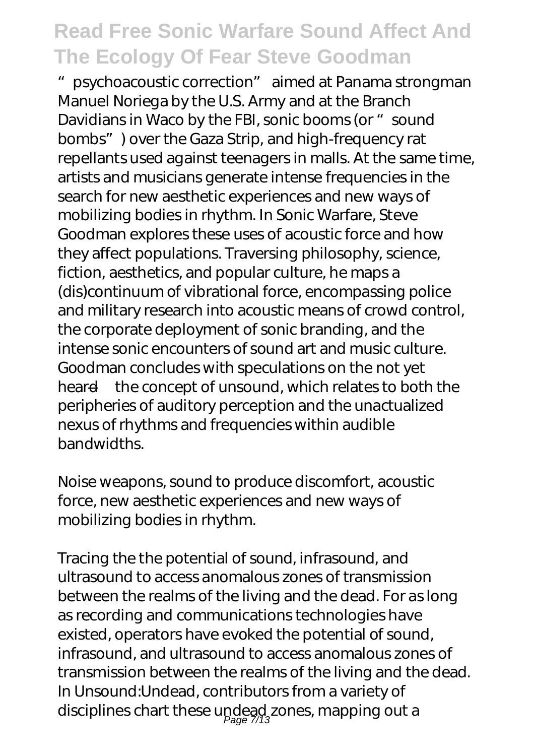"psychoacoustic correction" aimed at Panama strongman Manuel Noriega by the U.S. Army and at the Branch Davidians in Waco by the FBI, sonic booms (or "sound bombs") over the Gaza Strip, and high-frequency rat repellants used against teenagers in malls. At the same time, artists and musicians generate intense frequencies in the search for new aesthetic experiences and new ways of mobilizing bodies in rhythm. In Sonic Warfare, Steve Goodman explores these uses of acoustic force and how they affect populations. Traversing philosophy, science, fiction, aesthetics, and popular culture, he maps a (dis)continuum of vibrational force, encompassing police and military research into acoustic means of crowd control, the corporate deployment of sonic branding, and the intense sonic encounters of sound art and music culture. Goodman concludes with speculations on the not yet heard—the concept of unsound, which relates to both the peripheries of auditory perception and the unactualized nexus of rhythms and frequencies within audible bandwidths.

Noise weapons, sound to produce discomfort, acoustic force, new aesthetic experiences and new ways of mobilizing bodies in rhythm.

Tracing the the potential of sound, infrasound, and ultrasound to access anomalous zones of transmission between the realms of the living and the dead. For as long as recording and communications technologies have existed, operators have evoked the potential of sound, infrasound, and ultrasound to access anomalous zones of transmission between the realms of the living and the dead. In Unsound:Undead, contributors from a variety of disciplines chart these undead zones, mapping out a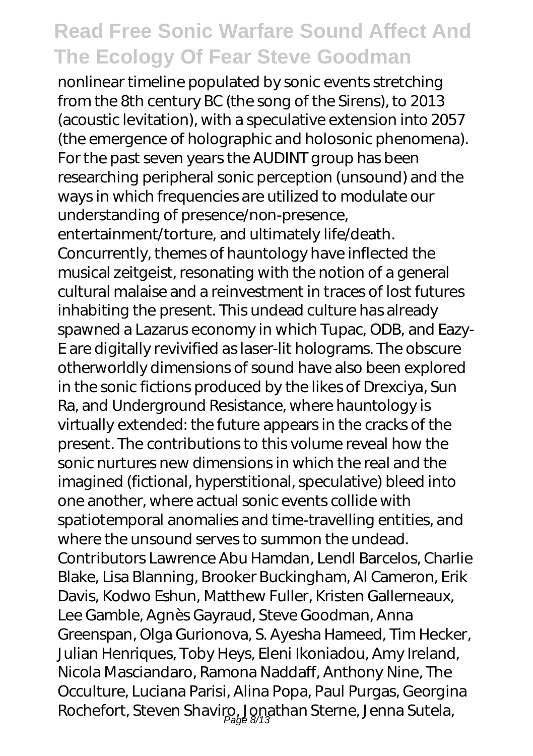nonlinear timeline populated by sonic events stretching from the 8th century BC (the song of the Sirens), to 2013 (acoustic levitation), with a speculative extension into 2057 (the emergence of holographic and holosonic phenomena). For the past seven years the AUDINT group has been researching peripheral sonic perception (unsound) and the ways in which frequencies are utilized to modulate our understanding of presence/non-presence, entertainment/torture, and ultimately life/death. Concurrently, themes of hauntology have inflected the musical zeitgeist, resonating with the notion of a general cultural malaise and a reinvestment in traces of lost futures inhabiting the present. This undead culture has already spawned a Lazarus economy in which Tupac, ODB, and Eazy-E are digitally revivified as laser-lit holograms. The obscure otherworldly dimensions of sound have also been explored in the sonic fictions produced by the likes of Drexciya, Sun Ra, and Underground Resistance, where hauntology is virtually extended: the future appears in the cracks of the present. The contributions to this volume reveal how the sonic nurtures new dimensions in which the real and the imagined (fictional, hyperstitional, speculative) bleed into one another, where actual sonic events collide with spatiotemporal anomalies and time-travelling entities, and where the unsound serves to summon the undead. Contributors Lawrence Abu Hamdan, Lendl Barcelos, Charlie Blake, Lisa Blanning, Brooker Buckingham, Al Cameron, Erik Davis, Kodwo Eshun, Matthew Fuller, Kristen Gallerneaux, Lee Gamble, Agnès Gayraud, Steve Goodman, Anna Greenspan, Olga Gurionova, S. Ayesha Hameed, Tim Hecker, Julian Henriques, Toby Heys, Eleni Ikoniadou, Amy Ireland, Nicola Masciandaro, Ramona Naddaff, Anthony Nine, The Occulture, Luciana Parisi, Alina Popa, Paul Purgas, Georgina Rochefort, Steven Shaviro, Jonathan Sterne, Jenna Sutela,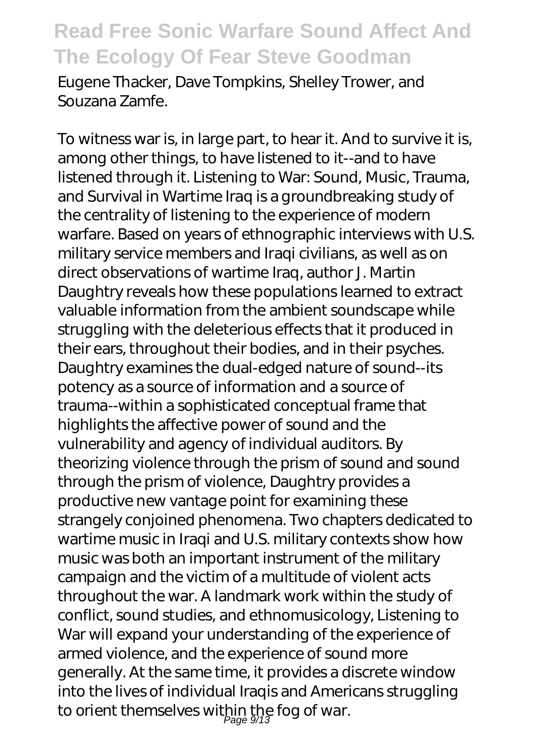Eugene Thacker, Dave Tompkins, Shelley Trower, and Souzana Zamfe.

To witness war is, in large part, to hear it. And to survive it is, among other things, to have listened to it--and to have listened through it. Listening to War: Sound, Music, Trauma, and Survival in Wartime Iraq is a groundbreaking study of the centrality of listening to the experience of modern warfare. Based on years of ethnographic interviews with U.S. military service members and Iraqi civilians, as well as on direct observations of wartime Iraq, author J. Martin Daughtry reveals how these populations learned to extract valuable information from the ambient soundscape while struggling with the deleterious effects that it produced in their ears, throughout their bodies, and in their psyches. Daughtry examines the dual-edged nature of sound--its potency as a source of information and a source of trauma--within a sophisticated conceptual frame that highlights the affective power of sound and the vulnerability and agency of individual auditors. By theorizing violence through the prism of sound and sound through the prism of violence, Daughtry provides a productive new vantage point for examining these strangely conjoined phenomena. Two chapters dedicated to wartime music in Iraqi and U.S. military contexts show how music was both an important instrument of the military campaign and the victim of a multitude of violent acts throughout the war. A landmark work within the study of conflict, sound studies, and ethnomusicology, Listening to War will expand your understanding of the experience of armed violence, and the experience of sound more generally. At the same time, it provides a discrete window into the lives of individual Iraqis and Americans struggling to orient themselves within the fog of war.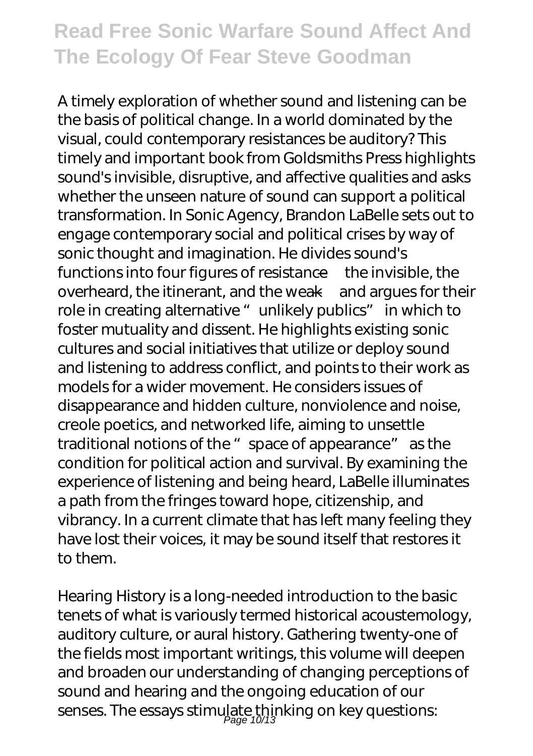A timely exploration of whether sound and listening can be the basis of political change. In a world dominated by the visual, could contemporary resistances be auditory? This timely and important book from Goldsmiths Press highlights sound's invisible, disruptive, and affective qualities and asks whether the unseen nature of sound can support a political transformation. In Sonic Agency, Brandon LaBelle sets out to engage contemporary social and political crises by way of sonic thought and imagination. He divides sound's functions into four figures of resistance—the invisible, the overheard, the itinerant, and the weak—and argues for their role in creating alternative "unlikely publics" in which to foster mutuality and dissent. He highlights existing sonic cultures and social initiatives that utilize or deploy sound and listening to address conflict, and points to their work as models for a wider movement. He considers issues of disappearance and hidden culture, nonviolence and noise, creole poetics, and networked life, aiming to unsettle traditional notions of the " space of appearance" as the condition for political action and survival. By examining the experience of listening and being heard, LaBelle illuminates a path from the fringes toward hope, citizenship, and vibrancy. In a current climate that has left many feeling they have lost their voices, it may be sound itself that restores it to them.

Hearing History is a long-needed introduction to the basic tenets of what is variously termed historical acoustemology, auditory culture, or aural history. Gathering twenty-one of the fields most important writings, this volume will deepen and broaden our understanding of changing perceptions of sound and hearing and the ongoing education of our senses. The essays stimulate thinking on key questions: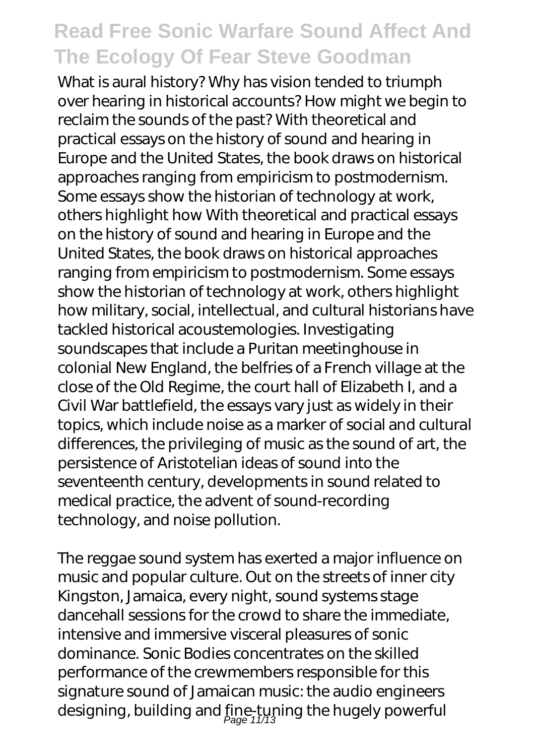What is aural history? Why has vision tended to triumph over hearing in historical accounts? How might we begin to reclaim the sounds of the past? With theoretical and practical essays on the history of sound and hearing in Europe and the United States, the book draws on historical approaches ranging from empiricism to postmodernism. Some essays show the historian of technology at work, others highlight how With theoretical and practical essays on the history of sound and hearing in Europe and the United States, the book draws on historical approaches ranging from empiricism to postmodernism. Some essays show the historian of technology at work, others highlight how military, social, intellectual, and cultural historians have tackled historical acoustemologies. Investigating soundscapes that include a Puritan meetinghouse in colonial New England, the belfries of a French village at the close of the Old Regime, the court hall of Elizabeth I, and a Civil War battlefield, the essays vary just as widely in their topics, which include noise as a marker of social and cultural differences, the privileging of music as the sound of art, the persistence of Aristotelian ideas of sound into the seventeenth century, developments in sound related to medical practice, the advent of sound-recording technology, and noise pollution.

The reggae sound system has exerted a major influence on music and popular culture. Out on the streets of inner city Kingston, Jamaica, every night, sound systems stage dancehall sessions for the crowd to share the immediate, intensive and immersive visceral pleasures of sonic dominance. Sonic Bodies concentrates on the skilled performance of the crewmembers responsible for this signature sound of Jamaican music: the audio engineers designing, building and fine-tuning the hugely powerful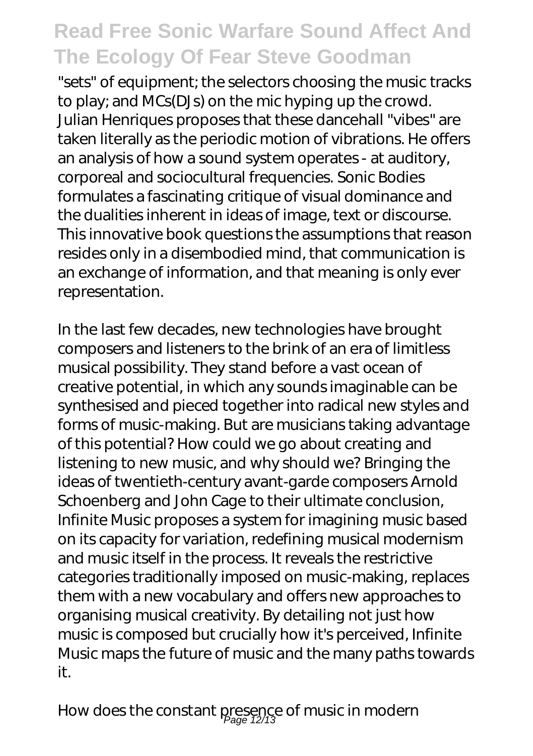"sets" of equipment; the selectors choosing the music tracks to play; and MCs(DJs) on the mic hyping up the crowd. Julian Henriques proposes that these dancehall "vibes" are taken literally as the periodic motion of vibrations. He offers an analysis of how a sound system operates - at auditory, corporeal and sociocultural frequencies. Sonic Bodies formulates a fascinating critique of visual dominance and the dualities inherent in ideas of image, text or discourse. This innovative book questions the assumptions that reason resides only in a disembodied mind, that communication is an exchange of information, and that meaning is only ever representation.

In the last few decades, new technologies have brought composers and listeners to the brink of an era of limitless musical possibility. They stand before a vast ocean of creative potential, in which any sounds imaginable can be synthesised and pieced together into radical new styles and forms of music-making. But are musicians taking advantage of this potential? How could we go about creating and listening to new music, and why should we? Bringing the ideas of twentieth-century avant-garde composers Arnold Schoenberg and John Cage to their ultimate conclusion, Infinite Music proposes a system for imagining music based on its capacity for variation, redefining musical modernism and music itself in the process. It reveals the restrictive categories traditionally imposed on music-making, replaces them with a new vocabulary and offers new approaches to organising musical creativity. By detailing not just how music is composed but crucially how it's perceived, Infinite Music maps the future of music and the many paths towards it.